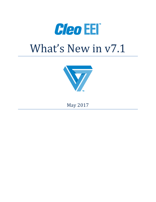



May 2017